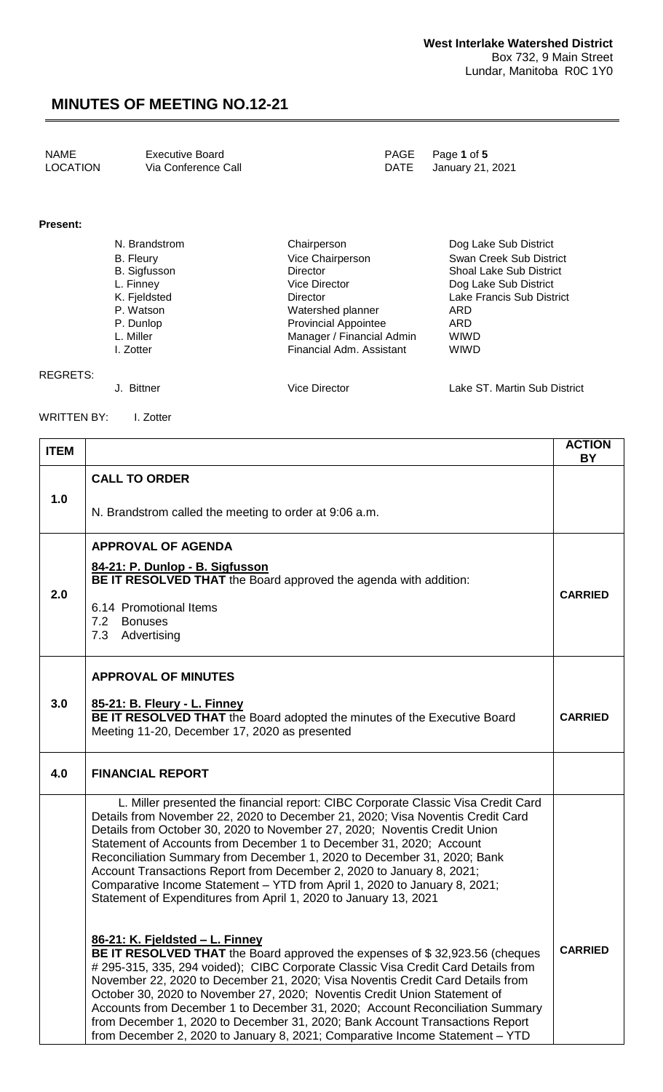| NAME     | <b>Executive Board</b> | PAGE Page 1 of 5      |
|----------|------------------------|-----------------------|
| LOCATION | Via Conference Call    | DATE January 21, 2021 |

#### **Present:**

| N. Brandstrom       | Chairperson                 | Dog Lake Sub District          |
|---------------------|-----------------------------|--------------------------------|
| <b>B.</b> Fleury    | Vice Chairperson            | Swan Creek Sub District        |
| <b>B.</b> Sigfusson | Director                    | <b>Shoal Lake Sub District</b> |
| L. Finney           | <b>Vice Director</b>        | Dog Lake Sub District          |
| K. Fjeldsted        | Director                    | Lake Francis Sub District      |
| P. Watson           | Watershed planner           | ARD                            |
| P. Dunlop           | <b>Provincial Appointee</b> | ARD                            |
| L. Miller           | Manager / Financial Admin   | <b>WIWD</b>                    |
| I. Zotter           | Financial Adm. Assistant    | <b>WIWD</b>                    |
|                     |                             |                                |

#### REGRETS:

J. Bittner Vice Director Lake ST. Martin Sub District

WRITTEN BY: I. Zotter

| <b>ITEM</b> |                                                                                                                                                                                                                                                                                                                                                                                                                                                                                                                                                                                                                              | <b>ACTION</b><br>BY |  |
|-------------|------------------------------------------------------------------------------------------------------------------------------------------------------------------------------------------------------------------------------------------------------------------------------------------------------------------------------------------------------------------------------------------------------------------------------------------------------------------------------------------------------------------------------------------------------------------------------------------------------------------------------|---------------------|--|
|             | <b>CALL TO ORDER</b>                                                                                                                                                                                                                                                                                                                                                                                                                                                                                                                                                                                                         |                     |  |
| 1.0         | N. Brandstrom called the meeting to order at 9:06 a.m.                                                                                                                                                                                                                                                                                                                                                                                                                                                                                                                                                                       |                     |  |
|             | <b>APPROVAL OF AGENDA</b>                                                                                                                                                                                                                                                                                                                                                                                                                                                                                                                                                                                                    |                     |  |
|             | 84-21: P. Dunlop - B. Sigfusson<br>BE IT RESOLVED THAT the Board approved the agenda with addition:                                                                                                                                                                                                                                                                                                                                                                                                                                                                                                                          |                     |  |
| 2.0         | 6.14 Promotional Items<br>7.2<br>Bonuses<br>7.3 Advertising                                                                                                                                                                                                                                                                                                                                                                                                                                                                                                                                                                  | <b>CARRIED</b>      |  |
|             | <b>APPROVAL OF MINUTES</b>                                                                                                                                                                                                                                                                                                                                                                                                                                                                                                                                                                                                   |                     |  |
| 3.0         | 85-21: B. Fleury - L. Finney<br>BE IT RESOLVED THAT the Board adopted the minutes of the Executive Board<br>Meeting 11-20, December 17, 2020 as presented                                                                                                                                                                                                                                                                                                                                                                                                                                                                    | <b>CARRIED</b>      |  |
| 4.0         | <b>FINANCIAL REPORT</b>                                                                                                                                                                                                                                                                                                                                                                                                                                                                                                                                                                                                      |                     |  |
|             | L. Miller presented the financial report: CIBC Corporate Classic Visa Credit Card<br>Details from November 22, 2020 to December 21, 2020; Visa Noventis Credit Card<br>Details from October 30, 2020 to November 27, 2020; Noventis Credit Union<br>Statement of Accounts from December 1 to December 31, 2020; Account<br>Reconciliation Summary from December 1, 2020 to December 31, 2020; Bank<br>Account Transactions Report from December 2, 2020 to January 8, 2021;<br>Comparative Income Statement - YTD from April 1, 2020 to January 8, 2021;<br>Statement of Expenditures from April 1, 2020 to January 13, 2021 |                     |  |
|             | 86-21: K. Fjeldsted - L. Finney<br>BE IT RESOLVED THAT the Board approved the expenses of \$32,923.56 (cheques<br># 295-315, 335, 294 voided); CIBC Corporate Classic Visa Credit Card Details from<br>November 22, 2020 to December 21, 2020; Visa Noventis Credit Card Details from<br>October 30, 2020 to November 27, 2020; Noventis Credit Union Statement of<br>Accounts from December 1 to December 31, 2020; Account Reconciliation Summary<br>from December 1, 2020 to December 31, 2020; Bank Account Transactions Report<br>from December 2, 2020 to January 8, 2021; Comparative Income Statement - YTD          | <b>CARRIED</b>      |  |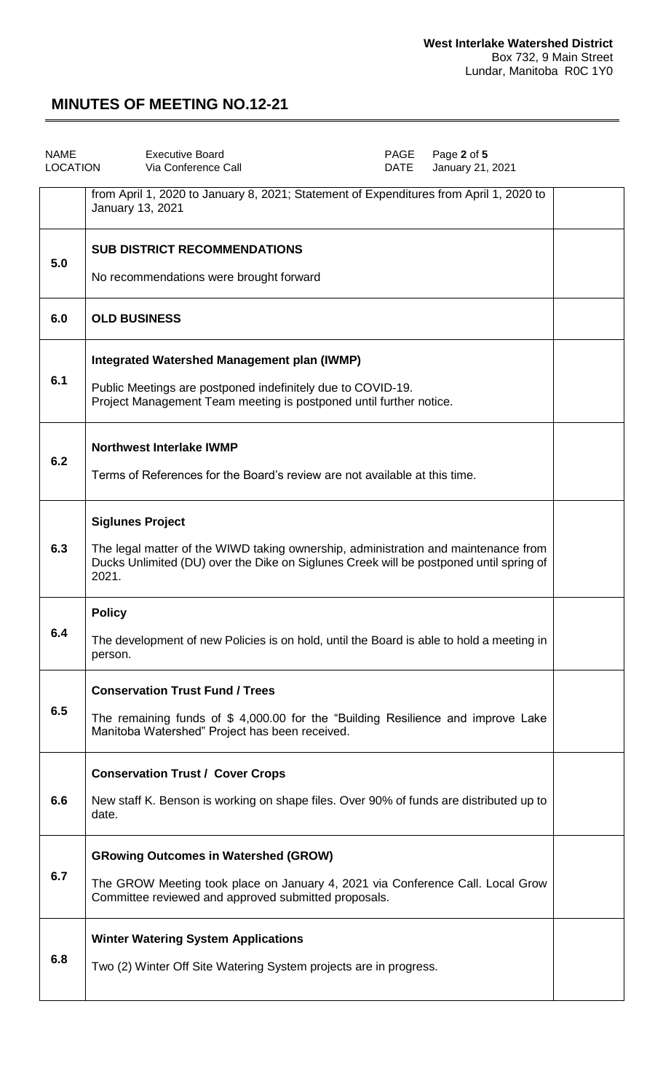| <b>NAME</b><br>LOCATION | <b>Executive Board</b><br>PAGE<br>Page 2 of 5<br>Via Conference Call<br>DATE<br>January 21, 2021                                                                                                                 |  |  |  |
|-------------------------|------------------------------------------------------------------------------------------------------------------------------------------------------------------------------------------------------------------|--|--|--|
|                         | from April 1, 2020 to January 8, 2021; Statement of Expenditures from April 1, 2020 to<br>January 13, 2021                                                                                                       |  |  |  |
| 5.0                     | <b>SUB DISTRICT RECOMMENDATIONS</b><br>No recommendations were brought forward                                                                                                                                   |  |  |  |
| 6.0                     | <b>OLD BUSINESS</b>                                                                                                                                                                                              |  |  |  |
| 6.1                     | <b>Integrated Watershed Management plan (IWMP)</b><br>Public Meetings are postponed indefinitely due to COVID-19.<br>Project Management Team meeting is postponed until further notice.                          |  |  |  |
| 6.2                     | <b>Northwest Interlake IWMP</b><br>Terms of References for the Board's review are not available at this time.                                                                                                    |  |  |  |
| 6.3                     | <b>Siglunes Project</b><br>The legal matter of the WIWD taking ownership, administration and maintenance from<br>Ducks Unlimited (DU) over the Dike on Siglunes Creek will be postponed until spring of<br>2021. |  |  |  |
| 6.4                     | <b>Policy</b><br>The development of new Policies is on hold, until the Board is able to hold a meeting in<br>person.                                                                                             |  |  |  |
| 6.5                     | <b>Conservation Trust Fund / Trees</b><br>The remaining funds of \$4,000.00 for the "Building Resilience and improve Lake<br>Manitoba Watershed" Project has been received.                                      |  |  |  |
| 6.6                     | <b>Conservation Trust / Cover Crops</b><br>New staff K. Benson is working on shape files. Over 90% of funds are distributed up to<br>date.                                                                       |  |  |  |
| 6.7                     | <b>GRowing Outcomes in Watershed (GROW)</b><br>The GROW Meeting took place on January 4, 2021 via Conference Call. Local Grow<br>Committee reviewed and approved submitted proposals.                            |  |  |  |
| 6.8                     | <b>Winter Watering System Applications</b><br>Two (2) Winter Off Site Watering System projects are in progress.                                                                                                  |  |  |  |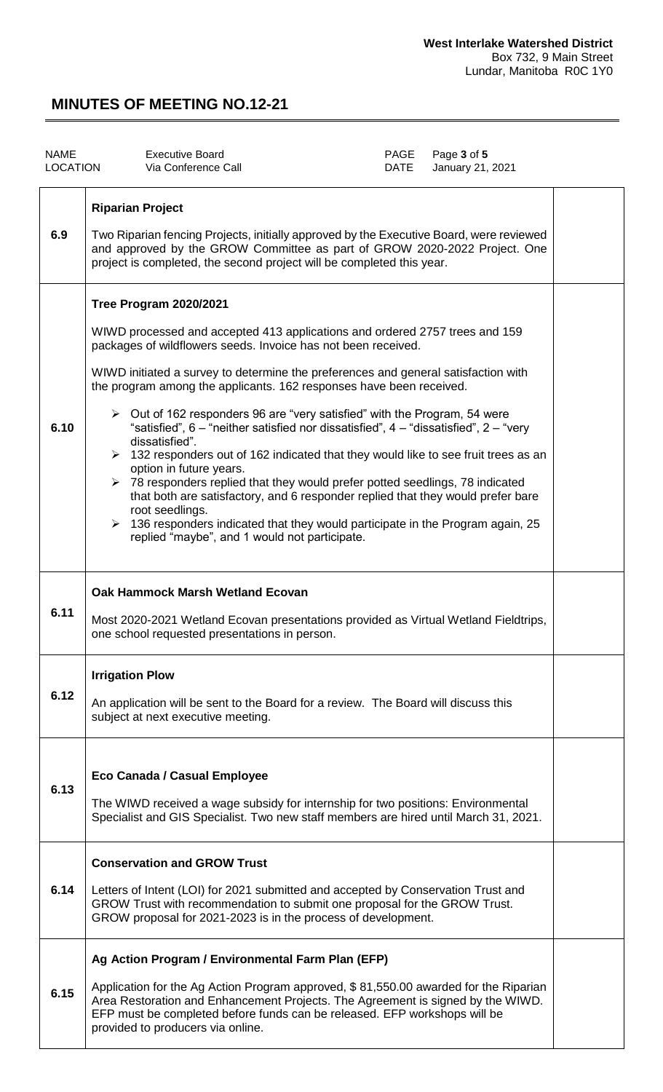| <b>NAME</b><br><b>LOCATION</b> | <b>Executive Board</b><br>Via Conference Call                                                                                                                                                                                                                                                                                                                                                                                                                                                                                                                                                                                                                                                                                                                                                                                                                                                                                                                                                                                     | PAGE<br>DATE | Page 3 of 5<br>January 21, 2021 |  |
|--------------------------------|-----------------------------------------------------------------------------------------------------------------------------------------------------------------------------------------------------------------------------------------------------------------------------------------------------------------------------------------------------------------------------------------------------------------------------------------------------------------------------------------------------------------------------------------------------------------------------------------------------------------------------------------------------------------------------------------------------------------------------------------------------------------------------------------------------------------------------------------------------------------------------------------------------------------------------------------------------------------------------------------------------------------------------------|--------------|---------------------------------|--|
| 6.9                            | <b>Riparian Project</b><br>Two Riparian fencing Projects, initially approved by the Executive Board, were reviewed<br>and approved by the GROW Committee as part of GROW 2020-2022 Project. One<br>project is completed, the second project will be completed this year.                                                                                                                                                                                                                                                                                                                                                                                                                                                                                                                                                                                                                                                                                                                                                          |              |                                 |  |
| 6.10                           | <b>Tree Program 2020/2021</b><br>WIWD processed and accepted 413 applications and ordered 2757 trees and 159<br>packages of wildflowers seeds. Invoice has not been received.<br>WIWD initiated a survey to determine the preferences and general satisfaction with<br>the program among the applicants. 162 responses have been received.<br>$\triangleright$ Out of 162 responders 96 are "very satisfied" with the Program, 54 were<br>"satisfied", $6$ – "neither satisfied nor dissatisfied", $4$ – "dissatisfied", $2$ – "very<br>dissatisfied".<br>$\triangleright$ 132 responders out of 162 indicated that they would like to see fruit trees as an<br>option in future years.<br>> 78 responders replied that they would prefer potted seedlings, 78 indicated<br>that both are satisfactory, and 6 responder replied that they would prefer bare<br>root seedlings.<br>$\triangleright$ 136 responders indicated that they would participate in the Program again, 25<br>replied "maybe", and 1 would not participate. |              |                                 |  |
| 6.11                           | Oak Hammock Marsh Wetland Ecovan<br>Most 2020-2021 Wetland Ecovan presentations provided as Virtual Wetland Fieldtrips,<br>one school requested presentations in person.                                                                                                                                                                                                                                                                                                                                                                                                                                                                                                                                                                                                                                                                                                                                                                                                                                                          |              |                                 |  |
| 6.12                           | <b>Irrigation Plow</b><br>An application will be sent to the Board for a review. The Board will discuss this<br>subject at next executive meeting.                                                                                                                                                                                                                                                                                                                                                                                                                                                                                                                                                                                                                                                                                                                                                                                                                                                                                |              |                                 |  |
| 6.13                           | Eco Canada / Casual Employee<br>The WIWD received a wage subsidy for internship for two positions: Environmental<br>Specialist and GIS Specialist. Two new staff members are hired until March 31, 2021.                                                                                                                                                                                                                                                                                                                                                                                                                                                                                                                                                                                                                                                                                                                                                                                                                          |              |                                 |  |
| 6.14                           | <b>Conservation and GROW Trust</b><br>Letters of Intent (LOI) for 2021 submitted and accepted by Conservation Trust and<br>GROW Trust with recommendation to submit one proposal for the GROW Trust.<br>GROW proposal for 2021-2023 is in the process of development.                                                                                                                                                                                                                                                                                                                                                                                                                                                                                                                                                                                                                                                                                                                                                             |              |                                 |  |
| 6.15                           | Ag Action Program / Environmental Farm Plan (EFP)<br>Application for the Ag Action Program approved, \$81,550.00 awarded for the Riparian<br>Area Restoration and Enhancement Projects. The Agreement is signed by the WIWD.<br>EFP must be completed before funds can be released. EFP workshops will be<br>provided to producers via online.                                                                                                                                                                                                                                                                                                                                                                                                                                                                                                                                                                                                                                                                                    |              |                                 |  |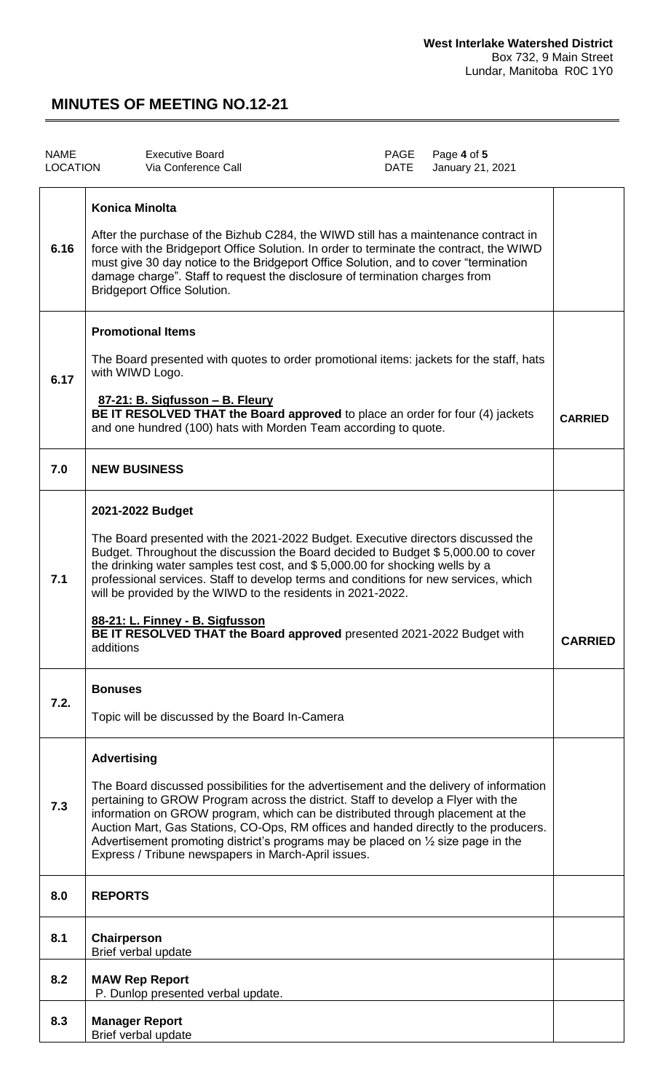| <b>NAME</b><br><b>LOCATION</b> |                                                                                                                                                                                                                                                                                                                                                                                                                                                                                                                                                            | <b>Executive Board</b><br>Via Conference Call                                                                                                                                                                                                                                                                                                                                                                                                                                                                |  | PAGE<br>DATE   | Page 4 of 5<br>January 21, 2021 |  |
|--------------------------------|------------------------------------------------------------------------------------------------------------------------------------------------------------------------------------------------------------------------------------------------------------------------------------------------------------------------------------------------------------------------------------------------------------------------------------------------------------------------------------------------------------------------------------------------------------|--------------------------------------------------------------------------------------------------------------------------------------------------------------------------------------------------------------------------------------------------------------------------------------------------------------------------------------------------------------------------------------------------------------------------------------------------------------------------------------------------------------|--|----------------|---------------------------------|--|
| 6.16                           | <b>Konica Minolta</b><br>After the purchase of the Bizhub C284, the WIWD still has a maintenance contract in<br>force with the Bridgeport Office Solution. In order to terminate the contract, the WIWD<br>must give 30 day notice to the Bridgeport Office Solution, and to cover "termination<br>damage charge". Staff to request the disclosure of termination charges from<br><b>Bridgeport Office Solution.</b>                                                                                                                                       |                                                                                                                                                                                                                                                                                                                                                                                                                                                                                                              |  |                |                                 |  |
| 6.17                           | <b>Promotional Items</b><br>The Board presented with quotes to order promotional items: jackets for the staff, hats<br>with WIWD Logo.<br>87-21: B. Sigfusson - B. Fleury<br>BE IT RESOLVED THAT the Board approved to place an order for four (4) jackets<br>and one hundred (100) hats with Morden Team according to quote.                                                                                                                                                                                                                              |                                                                                                                                                                                                                                                                                                                                                                                                                                                                                                              |  | <b>CARRIED</b> |                                 |  |
| 7.0                            | <b>NEW BUSINESS</b>                                                                                                                                                                                                                                                                                                                                                                                                                                                                                                                                        |                                                                                                                                                                                                                                                                                                                                                                                                                                                                                                              |  |                |                                 |  |
| 7.1                            | 2021-2022 Budget<br>The Board presented with the 2021-2022 Budget. Executive directors discussed the<br>Budget. Throughout the discussion the Board decided to Budget \$5,000.00 to cover<br>the drinking water samples test cost, and \$5,000.00 for shocking wells by a<br>professional services. Staff to develop terms and conditions for new services, which<br>will be provided by the WIWD to the residents in 2021-2022.<br>88-21: L. Finney - B. Sigfusson<br>BE IT RESOLVED THAT the Board approved presented 2021-2022 Budget with<br>additions |                                                                                                                                                                                                                                                                                                                                                                                                                                                                                                              |  | <b>CARRIED</b> |                                 |  |
| 7.2.                           | <b>Bonuses</b>                                                                                                                                                                                                                                                                                                                                                                                                                                                                                                                                             | Topic will be discussed by the Board In-Camera                                                                                                                                                                                                                                                                                                                                                                                                                                                               |  |                |                                 |  |
| 7.3                            | <b>Advertising</b>                                                                                                                                                                                                                                                                                                                                                                                                                                                                                                                                         | The Board discussed possibilities for the advertisement and the delivery of information<br>pertaining to GROW Program across the district. Staff to develop a Flyer with the<br>information on GROW program, which can be distributed through placement at the<br>Auction Mart, Gas Stations, CO-Ops, RM offices and handed directly to the producers.<br>Advertisement promoting district's programs may be placed on $\frac{1}{2}$ size page in the<br>Express / Tribune newspapers in March-April issues. |  |                |                                 |  |
| 8.0                            | <b>REPORTS</b>                                                                                                                                                                                                                                                                                                                                                                                                                                                                                                                                             |                                                                                                                                                                                                                                                                                                                                                                                                                                                                                                              |  |                |                                 |  |
| 8.1                            | Chairperson<br>Brief verbal update                                                                                                                                                                                                                                                                                                                                                                                                                                                                                                                         |                                                                                                                                                                                                                                                                                                                                                                                                                                                                                                              |  |                |                                 |  |
| 8.2                            | <b>MAW Rep Report</b>                                                                                                                                                                                                                                                                                                                                                                                                                                                                                                                                      | P. Dunlop presented verbal update.                                                                                                                                                                                                                                                                                                                                                                                                                                                                           |  |                |                                 |  |
| 8.3                            | <b>Manager Report</b><br>Brief verbal update                                                                                                                                                                                                                                                                                                                                                                                                                                                                                                               |                                                                                                                                                                                                                                                                                                                                                                                                                                                                                                              |  |                |                                 |  |